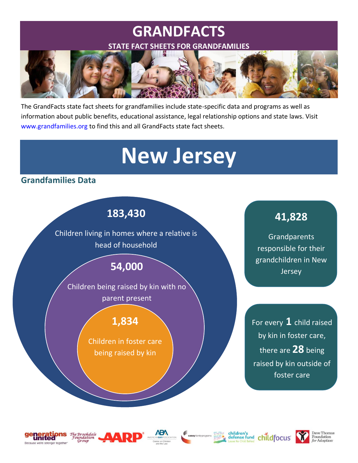## **GRANDFACTS STATE FACT SHEETS FOR GRANDFAMILIES**



The GrandFacts state fact sheets for grandfamilies include state-specific data and programs as well as information about public benefits, educational assistance, legal relationship options and state laws. Visit [www.grandfamilies.org](http://www.grandfamilies.org/) to find this and all GrandFacts state fact sheets.

# **New Jersey**

### **Grandfamilies Data**













childfocus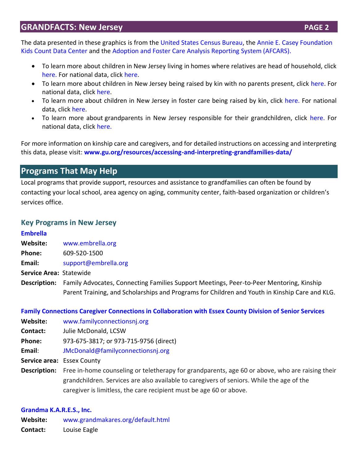### **GRANDFACTS: New Jersey <b>PAGE 2 PAGE 2**

The data presented in these graphics is from the [United States Census Bureau,](https://data.census.gov/cedsci/) the [Annie E. Casey Foundation](https://datacenter.kidscount.org/)  [Kids Count Data Center](https://datacenter.kidscount.org/) and the [Adoption and Foster Care Analysis Reporting System \(AFCARS\).](https://www.acf.hhs.gov/cb/research-data-technology/statistics-research/afcars) 

- To learn more about children in New Jersey living in homes where relatives are head of household, click [here.](https://data.census.gov/cedsci/table?q=S0901&g=0400000US34&tid=ACSST1Y2019.S0901&hidePreview=true) For national data, click [here.](https://data.census.gov/cedsci/table?q=S0901&g=0100000US&tid=ACSST1Y2019.S0901&hidePreview=true)
- To learn more about children in New Jersey being raised by kin with no parents present, click [here.](https://datacenter.kidscount.org/data/tables/10455-children-in-kinship-care#detailed/2/32/false/1985/any/20160,20161) For national data, click [here.](https://datacenter.kidscount.org/data/tables/10455-children-in-kinship-care#detailed/1/any/false/1985,1757/any/20160,20161)
- To learn more about children in New Jersey in foster care being raised by kin, click [here.](https://datacenter.kidscount.org/data/tables/6247-children-in-foster-care-by-placement-type#detailed/2/32/false/37/2622,2621,2623,2620,2625,2624,2626/12994,12995) For national data, click [here.](https://www.acf.hhs.gov/cb/research-data-technology/statistics-research/afcars)
- To learn more about grandparents in New Jersey responsible for their grandchildren, click [here.](https://data.census.gov/cedsci/table?q=ACSST1Y2019.S1002&g=0400000US34&tid=ACSST1Y2019.S1002&hidePreview=true) For national data, click [here.](https://data.census.gov/cedsci/table?q=ACSST1Y2019.S1002&g=0100000US&tid=ACSST1Y2019.S1002&hidePreview=true)

For more information on kinship care and caregivers, and for detailed instructions on accessing and interpreting this data, please visit: **[www.gu.org/resources/accessing-and-interpreting-grandfamilies-data/](http://www.gu.org/resources/accessing-and-interpreting-grandfamilies-data/)**

### **Programs That May Help**

Local programs that provide support, resources and assistance to grandfamilies can often be found by contacting your local school, area agency on aging, community center, faith-based organization or children's services office.

### **Key Programs in New Jersey**

### **[Embrella](http://www.embrella.org/)**

- **Website:** [www.embrella.org](http://www.embrella.org/)
- **Phone:** 609-520-1500
- **Email:** [support@embrella.org](mailto:support@embrella.org)
- **Service Area:** Statewide
- **Description:** Family Advocates, Connecting Families Support Meetings, Peer-to-Peer Mentoring, Kinship Parent Training, and Scholarships and Programs for Children and Youth in Kinship Care and KLG.

### **[Family Connections Caregiver Connections in Collaboration with Essex County Division of Senior Services](http://www.familyconnectionsnj.org/)**

- **Website:** [www.familyconnectionsnj.org](https://nam12.safelinks.protection.outlook.com/?url=http%3A%2F%2Fwww.familyconnectionsnj.org%2F&data=04%7C01%7Cbarnett.k%40northeastern.edu%7C94c0c6b5107b4e6ee52a08d8e4a37622%7Ca8eec281aaa34daeac9b9a398b9215e7%7C0%7C0%7C637510738627073278%7CUnknown%7CTWFpbGZsb3d8eyJWIjoiMC4wLjAwMDAiLCJQIjoiV2luMzIiLCJBTiI6Ik1haWwiLCJXVCI6Mn0%3D%7C0&sdata=Tm81CayYStAq%2BnCbSAa9Dk5QjNWZmZabZ%2BZXOtaCq5w%3D&reserved=0)
- **Contact:** Julie McDonald, LCSW
- **Phone:** 973-675-3817; or 973-715-9756 (direct)
- **Email**: [JMcDonald@familyconnectionsnj.org](mailto:JMcDonald@familyconnectionsnj.org)
- **Service area:** Essex County
- **Description:** Free in-home counseling or teletherapy for grandparents, age 60 or above, who are raising their grandchildren. Services are also available to caregivers of seniors. While the age of the caregiver is limitless, the care recipient must be age 60 or above.

### **[Grandma K.A.R.E.S., Inc.](https://www.grandmakares.org/default.html)**

**Website:** [www.grandmakares.org/default.html](http://www.grandmakares.org/default.html) **Contact:** Louise Eagle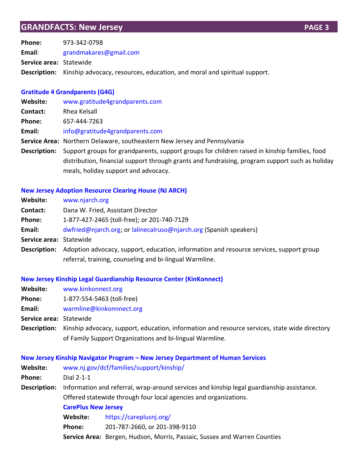**Phone:** 973-342-0798 **Email**: [grandmakares@gmail.com](mailto:grandmakares@gmail.com) **Service area:** Statewide **Description:** Kinship advocacy, resources, education, and moral and spiritual support.

### **[Gratitude 4 Grandparents \(G4G\)](http://www.gratitude4grandparents.com/)**

| <b>Website:</b> | www.gratitude4grandparents.com                                                                  |  |
|-----------------|-------------------------------------------------------------------------------------------------|--|
| Contact:        | Rhea Kelsall                                                                                    |  |
| Phone:          | 657-444-7263                                                                                    |  |
| Email:          | info@gratitude4grandparents.com                                                                 |  |
|                 | Service Area: Northern Delaware, southeastern New Jersey and Pennsylvania                       |  |
| Description:    | Support groups for grandparents, support groups for children raised in kinship families, food   |  |
|                 | distribution, financial support through grants and fundraising, program support such as holiday |  |
|                 | meals, holiday support and advocacy.                                                            |  |

### **[New Jersey Adoption Resource Clearing House \(NJ ARCH\)](http://www.njarch.org/)**

| Website:                | www.njarch.org                                                                          |
|-------------------------|-----------------------------------------------------------------------------------------|
| Contact:                | Dana W. Fried, Assistant Director                                                       |
| Phone:                  | 1-877-427-2465 (toll-free); or 201-740-7129                                             |
| Email:                  | dwfried@njarch.org; or lalinecalruso@njarch.org (Spanish speakers)                      |
| Service area: Statewide |                                                                                         |
| Description:            | Adoption advocacy, support, education, information and resource services, support group |
|                         | referral, training, counseling and bi-lingual Warmline.                                 |

### **[New Jersey Kinship Legal Guardianship Resource Center \(KinKonnect\)](http://www.kinkonnect.org/)**

| Website:                | www.kinkonnect.org                                                                                                                                        |
|-------------------------|-----------------------------------------------------------------------------------------------------------------------------------------------------------|
| <b>Phone:</b>           | 1-877-554-5463 (toll-free)                                                                                                                                |
| Email:                  | warmline@kinkonnnect.org                                                                                                                                  |
| Service area: Statewide |                                                                                                                                                           |
| <b>Description:</b>     | Kinship advocacy, support, education, information and resource services, state wide directory<br>of Family Support Organizations and bi-lingual Warmline. |

|                                     |                                                                                                                                                               | New Jersey Kinship Navigator Program - New Jersey Department of Human Services |  |
|-------------------------------------|---------------------------------------------------------------------------------------------------------------------------------------------------------------|--------------------------------------------------------------------------------|--|
| Website:                            | www.nj.gov/dcf/families/support/kinship/                                                                                                                      |                                                                                |  |
| Phone:                              | Dial 2-1-1                                                                                                                                                    |                                                                                |  |
| Description:                        | Information and referral, wrap-around services and kinship legal guardianship assistance.<br>Offered statewide through four local agencies and organizations. |                                                                                |  |
|                                     |                                                                                                                                                               |                                                                                |  |
|                                     |                                                                                                                                                               | <b>CarePlus New Jersey</b>                                                     |  |
| https://careplusnj.org/<br>Website: |                                                                                                                                                               |                                                                                |  |
|                                     | Phone:                                                                                                                                                        | 201-787-2660, or 201-398-9110                                                  |  |
|                                     |                                                                                                                                                               | Service Area: Bergen, Hudson, Morris, Passaic, Sussex and Warren Counties      |  |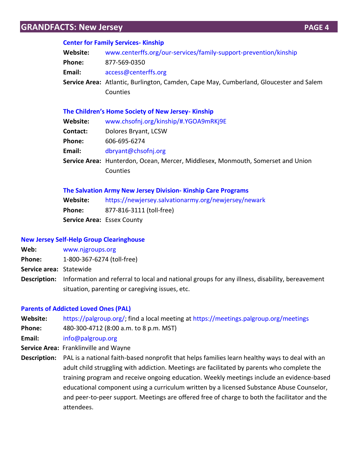### **GRANDFACTS: New Jersey <b>PAGE 4 PAGE 4**

#### **[Center for Family Services-](https://www.centerffs.org/our-services/family-support-prevention/kinship) Kinship**

| Website:      | www.centerffs.org/our-services/family-support-prevention/kinship                       |
|---------------|----------------------------------------------------------------------------------------|
| <b>Phone:</b> | 877-569-0350                                                                           |
| Email:        | access@centerffs.org                                                                   |
|               | Service Area: Atlantic, Burlington, Camden, Cape May, Cumberland, Gloucester and Salem |
|               | Counties                                                                               |
|               |                                                                                        |

#### **[The Children's Home Society of New Jersey](https://www.chsofnj.org/kinship/#.YGOA9mRKj9E)- Kinship**

| Website:        | www.chsofnj.org/kinship/#.YGOA9mRKj9E                                           |  |
|-----------------|---------------------------------------------------------------------------------|--|
| <b>Contact:</b> | Dolores Bryant, LCSW                                                            |  |
| <b>Phone:</b>   | 606-695-6274                                                                    |  |
| Email:          | dbryant@chsofnj.org                                                             |  |
|                 | Service Area: Hunterdon, Ocean, Mercer, Middlesex, Monmouth, Somerset and Union |  |
|                 | Counties                                                                        |  |
|                 |                                                                                 |  |

#### **[The Salvation Army New Jersey Division-](https://newjersey.salvationarmy.org/newjersey/newark) Kinship Care Programs**

| Website: | https://newjersey.salvationarmy.org/newjersey/newark |
|----------|------------------------------------------------------|
| Phone:   | 877-816-3111 (toll-free)                             |
|          | <b>Service Area: Essex County</b>                    |

#### **[New Jersey Self-Help Group Clearinghouse](http://www.njgroups.org/)**

- **Web:** [www.njgroups.org](http://www.njgroups.org/)
- **Phone:** 1-800-367-6274 (toll-free)
- **Service area:** Statewide
- **Description:** Information and referral to local and national groups for any illness, disability, bereavement situation, parenting or caregiving issues, etc.

### **[Parents of Addicted Loved Ones \(PAL\)](https://palgroup.org/)**

- **Website:** [https://palgroup.org/;](https://palgroup.org/) find a local meeting at<https://meetings.palgroup.org/meetings>
- **Phone:** 480-300-4712 (8:00 a.m. to 8 p.m. MST)
- **Email:** [info@palgroup.org](mailto:info@palgroup.org)
- **Service Area:** Franklinville and Wayne
- **Description:** PAL is a national faith-based nonprofit that helps families learn healthy ways to deal with an adult child struggling with addiction. Meetings are facilitated by parents who complete the training program and receive ongoing education. Weekly meetings include an evidence-based educational component using a curriculum written by a licensed Substance Abuse Counselor, and peer-to-peer support. Meetings are offered free of charge to both the facilitator and the attendees.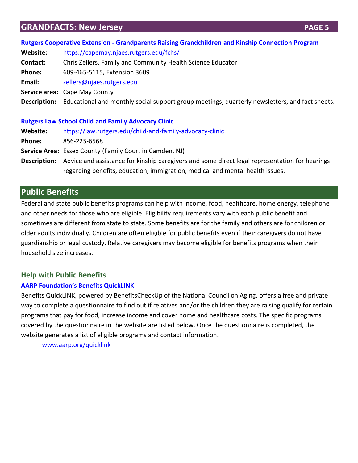### **GRANDFACTS: New Jersey <b>PAGE 5 PAGE 5**

### **Rutgers Cooperative Extension - [Grandparents Raising Grandchildren and Kinship Connection Program](https://capemay.njaes.rutgers.edu/fchs/)**

**Website:** <https://capemay.njaes.rutgers.edu/fchs/>

- **Contact:** Chris Zellers, Family and Community Health Science Educator
- **Phone:** 609-465-5115, Extension 3609
- **Email:** [zellers@njaes.rutgers.edu](mailto:zellers@njaes.rutgers.edu)
- **Service area:** Cape May County

**Description:** Educational and monthly social support group meetings, quarterly newsletters, and fact sheets.

### **[Rutgers Law School Child and Family Advocacy Clinic](https://law.rutgers.edu/child-and-family-advocacy-clinic)**

| <b>Website:</b> | https://law.rutgers.edu/child-and-family-advocacy-clinic                                                    |
|-----------------|-------------------------------------------------------------------------------------------------------------|
| <b>Phone:</b>   | 856-225-6568                                                                                                |
|                 | <b>Service Area:</b> Essex County (Family Court in Camden, NJ)                                              |
|                 | Description: Advice and assistance for kinship caregivers and some direct legal representation for hearings |
|                 | regarding benefits, education, immigration, medical and mental health issues.                               |

### **Public Benefits**

Federal and state public benefits programs can help with income, food, healthcare, home energy, telephone and other needs for those who are eligible. Eligibility requirements vary with each public benefit and sometimes are different from state to state. Some benefits are for the family and others are for children or older adults individually. Children are often eligible for public benefits even if their caregivers do not have guardianship or legal custody. Relative caregivers may become eligible for benefits programs when their household size increases.

### **Help with Public Benefits**

### **[AARP Foundation's Benefits QuickL](http://www.aarp.org/quicklink)INK**

Benefits QuickLINK, powered by BenefitsCheckUp of the National Council on Aging, offers a free and private way to complete a questionnaire to find out if relatives and/or the children they are raising qualify for certain programs that pay for food, increase income and cover home and healthcare costs. The specific programs covered by the questionnaire in the website are listed below. Once the questionnaire is completed, the website generates a list of eligible programs and contact information.

[www.aarp.org/quicklink](http://www.aarp.org/quicklink)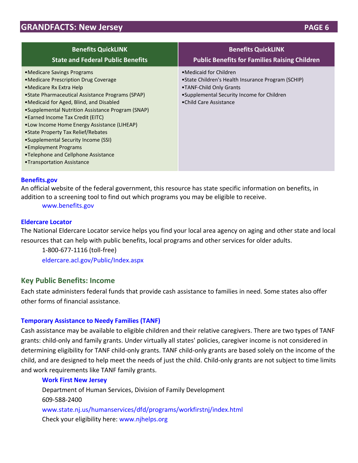| <b>Benefits QuickLINK</b>                                                                                                                                                                                                                                                                                                                                                                                                                                                                                              | <b>Benefits QuickLINK</b>                                                                                                                                                         |
|------------------------------------------------------------------------------------------------------------------------------------------------------------------------------------------------------------------------------------------------------------------------------------------------------------------------------------------------------------------------------------------------------------------------------------------------------------------------------------------------------------------------|-----------------------------------------------------------------------------------------------------------------------------------------------------------------------------------|
| <b>State and Federal Public Benefits</b>                                                                                                                                                                                                                                                                                                                                                                                                                                                                               | <b>Public Benefits for Families Raising Children</b>                                                                                                                              |
| • Medicare Savings Programs<br>•Medicare Prescription Drug Coverage<br>• Medicare Rx Extra Help<br>• State Pharmaceutical Assistance Programs (SPAP)<br>• Medicaid for Aged, Blind, and Disabled<br>•Supplemental Nutrition Assistance Program (SNAP)<br>• Earned Income Tax Credit (EITC)<br>•Low Income Home Energy Assistance (LIHEAP)<br>• State Property Tax Relief/Rebates<br>• Supplemental Security Income (SSI)<br>• Employment Programs<br>•Telephone and Cellphone Assistance<br>•Transportation Assistance | • Medicaid for Children<br>• State Children's Health Insurance Program (SCHIP)<br>•TANF-Child Only Grants<br>•Supplemental Security Income for Children<br>•Child Care Assistance |

### **[Benefits.gov](http://www.benefits.gov/)**

An official website of the federal government, this resource has state specific information on benefits, in addition to a screening tool to find out which programs you may be eligible to receive.

[www.benefits.gov](http://www.benefits.gov/)

#### **[Eldercare Locator](http://eldercare.acl.gov/Public/Index.aspx)**

The National Eldercare Locator service helps you find your local area agency on aging and other state and local resources that can help with public benefits, local programs and other services for older adults.

1-800-677-1116 (toll-free) [eldercare.acl.gov/Public/Index.aspx](https://eldercare.acl.gov/Public/Index.aspx)

### **Key Public Benefits: Income**

Each state administers federal funds that provide cash assistance to families in need. Some states also offer other forms of financial assistance.

### **[Temporary Assistance to Needy Families \(TANF\)](https://www.acf.hhs.gov/ofa/programs/tanf)**

Cash assistance may be available to eligible children and their relative caregivers. There are two types of TANF grants: child-only and family grants. Under virtually all states' policies, caregiver income is not considered in determining eligibility for TANF child-only grants. TANF child-only grants are based solely on the income of the child, and are designed to help meet the needs of just the child. Child-only grants are not subject to time limits and work requirements like TANF family grants.

### **[Work First New Jersey](http://www.state.nj.us/humanservices/dfd/programs/workfirstnj/index.html)**

Department of Human Services, Division of Family Development 609-588-2400 [www.state.nj.us/humanservices/dfd/programs/workfirstnj/index.html](http://www.state.nj.us/humanservices/dfd/programs/workfirstnj/index.html) Check your eligibility here: [www.njhelps.org](http://www.njhelps.org/)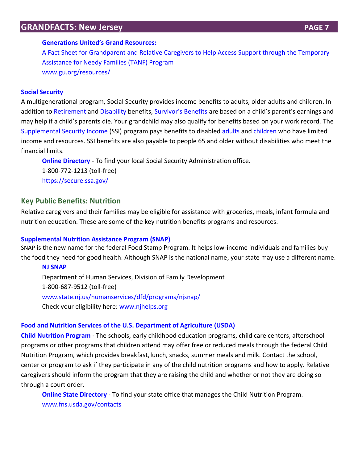### **GRANDFACTS: New Jersey <b>PAGE 7 PAGE 7**

#### **[Generations United's Grand Resources:](https://www.gu.org/resources/grand-resources-tanf/)**

A Fact Sheet for [Grandparent and Relative Caregivers to Help Access Support through the Temporary](https://www.gu.org/resources/grand-resources-tanf/)  [Assistance for Needy Families \(TANF\) Program](https://www.gu.org/resources/grand-resources-tanf/) [www.gu.org/resources/](http://www.gu.org/resources/)

#### **[Social Security](http://www.ssa.gov/)**

A multigenerational program, Social Security provides income benefits to adults, older adults and children. In addition to [Retirement](http://www.ssa.gov/pgm/retirement.htm) and [Disability](http://www.ssa.gov/pgm/disability.htm) benefits, [Survivor's Benefits](https://www.ssa.gov/survivors/) are based on a child's parent's earnings and may help if a child's parents die. Your grandchild may also qualify for benefits based on your work record. The [Supplemental Security](http://www.ssa.gov/pgm/ssi.htm) [Income](http://www.ssa.gov/pgm/ssi.htm) (SSI) program pays benefits to disabled [adults](https://www.ssa.gov/disabilityssi/) and [children](http://www.ssa.gov/applyfordisability/child.htm) who have limited income and resources. SSI benefits are also payable to people 65 and older without disabilities who meet the financial limits.

**[Online Directory](https://secure.ssa.gov/apps6z/FOLO/fo001.jsp)** - To find your local Social Security Administration office. 1-800-772-1213 (toll-free) <https://secure.ssa.gov/>

### **Key Public Benefits: Nutrition**

Relative caregivers and their families may be eligible for assistance with groceries, meals, infant formula and nutrition education. These are some of the key nutrition benefits programs and resources.

### **[Supplemental Nutrition Assistance Program \(SNAP\)](https://www.fns.usda.gov/snap/supplemental-nutrition-assistance-program-snap)**

SNAP is the new name for the federal Food Stamp Program. It helps low-income individuals and families buy the food they need for good health. Although SNAP is the national name, your state may use a different name.

#### **[NJ SNAP](http://www.state.nj.us/humanservices/dfd/programs/njsnap/)**

Department of Human Services, Division of Family Development 1-800-687-9512 (toll-free) [www.state.nj.us/humanservices/dfd/programs/njsnap/](http://www.state.nj.us/humanservices/dfd/programs/njsnap/) Check your eligibility here: [www.njhelps.org](http://www.njhelps.org/)

### **[Food and Nutrition Services](https://www.fns.usda.gov/) of the U.S. Department of Agriculture (USDA)**

**[Child Nutrition Program](https://www.fns.usda.gov/cn)** - The schools, early childhood education programs, child care centers, afterschool programs or other programs that children attend may offer free or reduced meals through the federal Child Nutrition Program, which provides breakfast, lunch, snacks, summer meals and milk. Contact the school, center or program to ask if they participate in any of the child nutrition programs and how to apply. Relative caregivers should inform the program that they are raising the child and whether or not they are doing so through a court order.

**[Online State Directory](http://www.fns.usda.gov/contacts)** - To find your state office that manages the Child Nutrition Program. [www.fns.usda.gov/contacts](http://www.fns.usda.gov/contacts)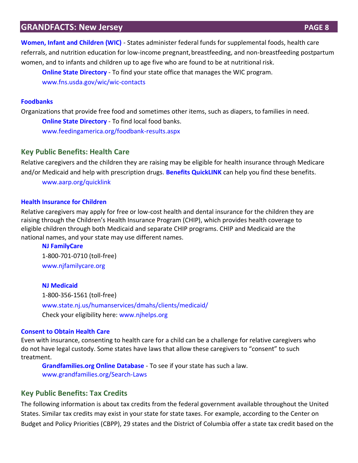**[Women, Infant and Children \(WIC\)](http://www.fns.usda.gov/wic/)** - States administer federal funds for supplemental foods, health care referrals, and nutrition education for low-income pregnant,breastfeeding, and non-breastfeeding postpartum women, and to infants and children up to age five who are found to be at nutritional risk.

**[Online State Directory](https://www.fns.usda.gov/wic/wic-contacts)** - To find your state office that manages the WIC program. [www.fns.usda.gov/wic/wic-contacts](http://www.fns.usda.gov/wic/wic-contacts)

### **[Foodbanks](http://www.feedingamerica.org/)**

Organizations that provide free food and sometimes other items, such as diapers, to families in need. **[Online State Directory](http://feedingamerica.org/foodbank-results.aspx)** - To find local food banks. [www.feedingamerica.org/foodbank-results.aspx](http://www.feedingamerica.org/foodbank-results.aspx)

### **Key Public Benefits: Health Care**

Relative caregivers and the children they are raising may be eligible for health insurance through Medicare and/or Medicaid and help with prescription drugs. **[Benefits QuickLINK](http://www.aarp.org/quicklink)** can help you find these benefits.

[www.aarp.org/quicklink](http://www.aarp.org/quicklink)

### **[Health Insurance for Children](https://www.medicaid.gov/chip/chip-program-information.html)**

Relative caregivers may apply for free or low-cost health and dental insurance for the children they are raising through the Children's Health Insurance Program (CHIP), which provides health coverage to eligible children through both Medicaid and separate CHIP programs. CHIP and Medicaid are the national names, and your state may use different names.

#### **[NJ FamilyCare](http://www.njfamilycare.org/default.aspx)**

1-800-701-0710 (toll-free) [www.njfamilycare.org](http://www.njfamilycare.org/default.aspx)

#### **[NJ Medicaid](http://www.state.nj.us/humanservices/dmahs/clients/medicaid/)**

1-800-356-1561 (toll-free) [www.state.nj.us/humanservices/dmahs/clients/medicaid/](http://www.state.nj.us/humanservices/dmahs/clients/medicaid/) Check your eligibility here: [www.njhelps.org](http://www.njhelps.org/)

### **[Consent to Obtain Health Care](http://www.grandfamilies.org/Topics/Healthcare/Healthcare-Summary-Analysis)**

Even with insurance, consenting to health care for a child can be a challenge for relative caregivers who do not have legal custody. Some states have laws that allow these caregivers to "consent" to such treatment.

**[Grandfamilies.org Online Database](http://www.grandfamilies.org/Search-Laws)** - To see if your state has such a law. [www.grandfamilies.org/Search-Laws](http://www.grandfamilies.org/Search-Laws)

### **Key Public Benefits: Tax Credits**

The following information is about tax credits from the federal government available throughout the United States. Similar tax credits may exist in your state for state taxes. For example, according to the Center on Budget and Policy Priorities (CBPP), 29 states and the District of Columbia offer a state tax credit based on the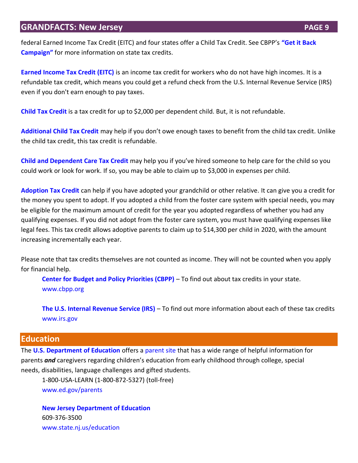### **GRANDFACTS: New Jersey <b>PAGE 9 PAGE 9**

federal Earned Income Tax Credit (EITC) and four states offer a Child Tax Credit. See CBPP's **["Get it Back](http://www.eitcoutreach.org/learn/tax-credits/earned-income-tax-credit/#state)  [Campaign"](http://www.eitcoutreach.org/learn/tax-credits/earned-income-tax-credit/#state)** for more information on state tax credits.

**[Earned Income Tax Credit \(EITC\)](http://www.irs.gov/individuals/article/0,,id=96406,00.html)** is an income tax credit for workers who do not have high incomes. It is a refundable tax credit, which means you could get a refund check from the U.S. Internal Revenue Service (IRS) even if you don't earn enough to pay taxes.

**[Child Tax Credit](http://www.irs.gov/help/ita/does-my-childdependent-qualify-for-the-child-tax-credit-or-the-credit-for-other-dependents)** is a tax credit for up to \$2,000 per dependent child. But, it is not refundable.

**[Additional Child Tax Credit](http://www.irs.gov/publications/p972/ar02.html#en_US_2012_publink100012090)** [m](http://www.irs.gov/publications/p972/ar02.html#en_US_2012_publink100012090)ay help if you don't owe enough taxes to benefit from the child tax credit. Unlike the child tax credit, this tax credit is refundable.

**[Child and Dependent Care Tax](https://www.irs.gov/uac/ten-things-to-know-about-the-child-and-dependent-care-credit) Credit** may help you if you've hired someone to help care for the child so you could work or look for work. If so, you may be able to claim up to \$3,000 in expenses per child.

**[Adoption Tax Credit](http://www.irs.gov/taxtopics/tc607.html)** can help if you have adopted your grandchild or other relative. It can give you a credit for the money you spent to adopt. If you adopted a child from the foster care system with special needs, you may be eligible for the maximum amount of credit for the year you adopted regardless of whether you had any qualifying expenses. If you did not adopt from the foster care system, you must have qualifying expenses like legal fees. This tax credit allows adoptive parents to claim up to \$14,300 per child in 2020, with the amount increasing incrementally each year.

Please note that tax credits themselves are not counted as income. They will not be counted when you apply for financial help.

**[Center for Budget and Policy Priorities \(CBPP\)](http://www.eitcoutreach.org/learn/tax-credits/earned-income-tax-credit/#state)** – To find out about tax credits in your state. [www.cbpp.org](http://www.cbpp.org/)

**[The U.S. Internal Revenue Service \(IRS\)](http://www.irs.gov/)** – To find out more information about each of these tax credits [www.irs.gov](http://www.irs.gov/)

### **Education**

The **[U.S. Department of Education](http://www.ed.gov/)** offers a [parent site](http://www2.ed.gov/parents/landing.jhtml?src=ln) that has a wide range of helpful information for parents *and* caregivers regarding children's education from early childhood through college, special needs, disabilities, language challenges and gifted students.

1-800-USA-LEARN (1-800-872-5327) (toll-free) [www.ed.gov/parents](http://www.ed.gov/parents)

**[New Jersey Department of Education](http://www.state.nj.us/education)** 609-376-3500 [www.state.nj.us/education](http://www.state.nj.us/education)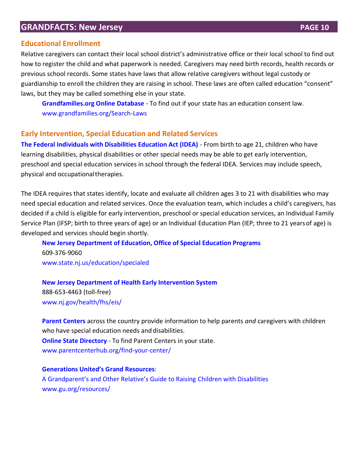### **Educational Enrollment**

Relative caregivers can contact their local school district's administrative office or their local school to find out how to register the child and what paperwork is needed. Caregivers may need birth records, health records or previous school records. Some states have laws that allow relative caregivers without legal custody or guardianship to enroll the children they are raising in school. These laws are often called education "consent" laws, but they may be called something else in your state.

**[Grandfamilies.org Online Database](http://www.grandfamilies.org/Search-Laws)** - To find out if your state has an education consent law. [www.grandfamilies.org/Search-Laws](http://www.grandfamilies.org/Search-Laws)

### **Early Intervention, Special Education and Related Services**

**[The Federal Individuals with Disabilities Education Act \(IDEA\)](http://sites.ed.gov/idea/)** - From birth to age 21, children who have learning disabilities, physical disabilities or other special needs may be able to get early intervention, preschool and special education services in school through the federal IDEA. Services may include speech, physical and occupationaltherapies.

The IDEA requires that states identify, locate and evaluate all children ages 3 to 21 with disabilities who may need special education and related services. Once the evaluation team, which includes a child's caregivers, has decided if a child is eligible for early intervention, preschool or special education services, an Individual Family Service Plan (IFSP; birth to three years of age) or an Individual Education Plan (IEP; three to 21 yearsof age) is developed and services should begin shortly.

**[New Jersey Department of Education, Office of Special Education Programs](http://www.state.nj.us/education/specialed/)** 609-376-9060 [www.state.nj.us/education/specialed](http://www.state.nj.us/education/specialed)

**[New Jersey Department of Health Early Intervention System](https://www.nj.gov/health/fhs/eis/)** 888-653-4463 (toll-free) [www.nj.gov/health/fhs/eis/](http://www.nj.gov/health/fhs/eis/)

**[Parent Centers](http://www.parentcenterhub.org/)** across the country provide information to help parents *and* caregivers with children who have special education needs and disabilities. **[Online State Directory](http://www.parentcenterhub.org/find-your-center/)** - To find Parent Centers in your state. www.parentcenterhub.org/find-your-center/

### **G[enerations United's G](https://s3.amazonaws.com/pushbullet-uploads/ujzNDwQrsR2-e9bzzqRW17gTKJfeJd1zxrArTZrlgITZ/2013-grandfamilies-GrandResourcesFULLGUIDE.pdf)rand Resources**: [A Grandparent's and Other Relative's Guide to Raising](https://s3.amazonaws.com/pushbullet-uploads/ujzNDwQrsR2-e9bzzqRW17gTKJfeJd1zxrArTZrlgITZ/2013-grandfamilies-GrandResourcesFULLGUIDE.pdf) Children with Disabilities [www.gu.org/resources/](http://www.gu.org/resources/)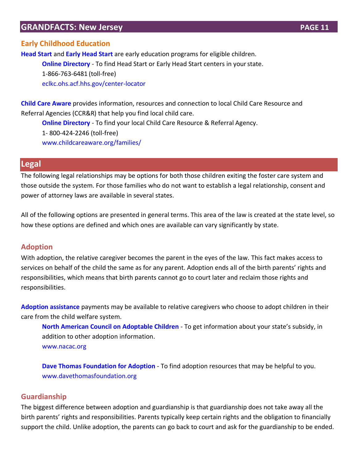### **Early Childhood Education**

**[Head Start](https://eclkc.ohs.acf.hhs.gov/programs/article/head-start-programs)** and **[Early Head Start](https://eclkc.ohs.acf.hhs.gov/programs/article/early-head-start-programs)** are early education programs for eligible children. **[Online Directory](http://eclkc.ohs.acf.hhs.gov/center-locator)** - To find Head Start or Early Head Start centers in your state. 1-866-763-6481 (toll-free) [eclkc.ohs.acf.hhs.gov/center-locator](https://eclkc.ohs.acf.hhs.gov/center-locator)

**[Child Care Aware](http://childcareaware.org/families/)** provides information, resources and connection to local Child Care Resource and Referral Agencies (CCR&R) that help you find local child care.

**[Online Directory](http://www.childcareaware.org/resources/ccrr-search-form/)** - To find your local Child Care Resource & Referral Agency. 1- 800-424-2246 (toll-free)

[www.childcareaware.org/families/](http://www.childcareaware.org/families/)

### **Legal**

The following legal relationships may be options for both those children exiting the foster care system and those outside the system. For those families who do not want to establish a legal relationship, consent and power of attorney laws are available in several states.

All of the following options are presented in general terms. This area of the law is created at the state level, so how these options are defined and which ones are available can vary significantly by state.

### **Adoption**

With adoption, the relative caregiver becomes the parent in the eyes of the law. This fact makes access to services on behalf of the child the same as for any parent. Adoption ends all of the birth parents' rights and responsibilities, which means that birth parents cannot go to court later and reclaim those rights and responsibilities.

**[Adoption assistance](http://www.nacac.org/adoptionsubsidy/stateprofiles.html)** payments may be available to relative caregivers who choose to adopt children in their care from the child welfare system.

**[North American Council on Adoptable Children](http://www.nacac.org/adoptionsubsidy/stateprofiles.html)** - To get information about your state's subsidy, in addition to other adoption information. [www.nacac.org](http://www.nacac.org/)

**[Dave Thomas Foundation for Adoption](https://davethomasfoundation.org/)** - To find adoption resources that may be helpful to you. [www.davethomasfoundation.org](http://www.davethomasfoundation.org/)

### **Guardianship**

The biggest difference between adoption and guardianship is that guardianship does not take away all the birth parents' rights and responsibilities. Parents typically keep certain rights and the obligation to financially support the child. Unlike adoption, the parents can go back to court and ask for the guardianship to be ended.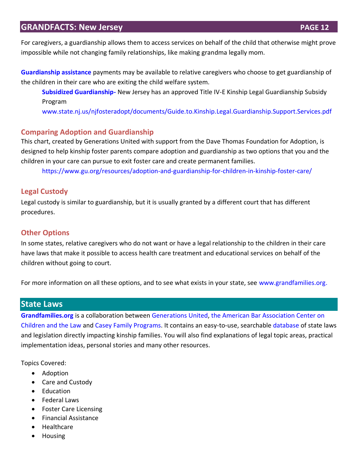For caregivers, a guardianship allows them to access services on behalf of the child that otherwise might prove impossible while not changing family relationships, like making grandma legally mom.

**[Guardianship assistance](http://www.grandfamilies.org/Topics/Subsidized-Guardianship/Subsidized-Guardianship-Summary-Analysis)** payments may be available to relative caregivers who choose to get guardianship of the children in their care who are exiting the child welfare system.

**[Subsidized Guardianship-](/Users/danicaderriennic/Desktop/Subsidized%20Guardianship-%20Find%20out%20more%20about%20whether%20your%20state%20has%20guardianship%20assistance.)** New Jersey has an approved Title IV-E Kinship Legal Guardianship Subsidy Program

[www.state.nj.us/njfosteradopt/documents/Guide.to.Kinship.Legal.Guardianship.Support.Services.pdf](http://www.state.nj.us/njfosteradopt/documents/Guide.to.Kinship.Legal.Guardianship.Support.Services.pdf)

### **Comparing Adoption and Guardianship**

This chart, created by Generations United with support from the Dave Thomas Foundation for Adoption, is designed to help kinship foster parents compare adoption and guardianship as two options that you and the children in your care can pursue to exit foster care and create permanent families.

<https://www.gu.org/resources/adoption-and-guardianship-for-children-in-kinship-foster-care/>

### **Legal Custody**

Legal custody is similar to guardianship, but it is usually granted by a different court that has different procedures.

### **Other Options**

In some states, relative caregivers who do not want or have a legal relationship to the children in their care have laws that make it possible to access health care treatment and educational services on behalf of the children without going to court.

For more information on all these options, and to see what exists in your state, see [www.grandfamilies.org.](http://www.grandfamilies.org/)

### **State Laws**

**[Grandfamilies.org](http://www.grandfamilies.org/)** is a collaboration between [Generations United,](http://www.gu.org/) [the American Bar Association Center on](http://www.americanbar.org/groups/child_law.html)  [Children and the Law](http://www.americanbar.org/groups/child_law.html) and [Casey Family Programs.](http://www.casey.org/) It contains an easy-to-use, searchable [database](http://www.grandfamilies.org/Search-Laws) of state laws and legislation directly impacting kinship families. You will also find explanations of legal topic areas, practical implementation ideas, personal stories and many other resources.

Topics Covered:

- Adoption
- Care and Custody
- Education
- Federal Laws
- Foster Care Licensing
- Financial Assistance
- Healthcare
- Housing